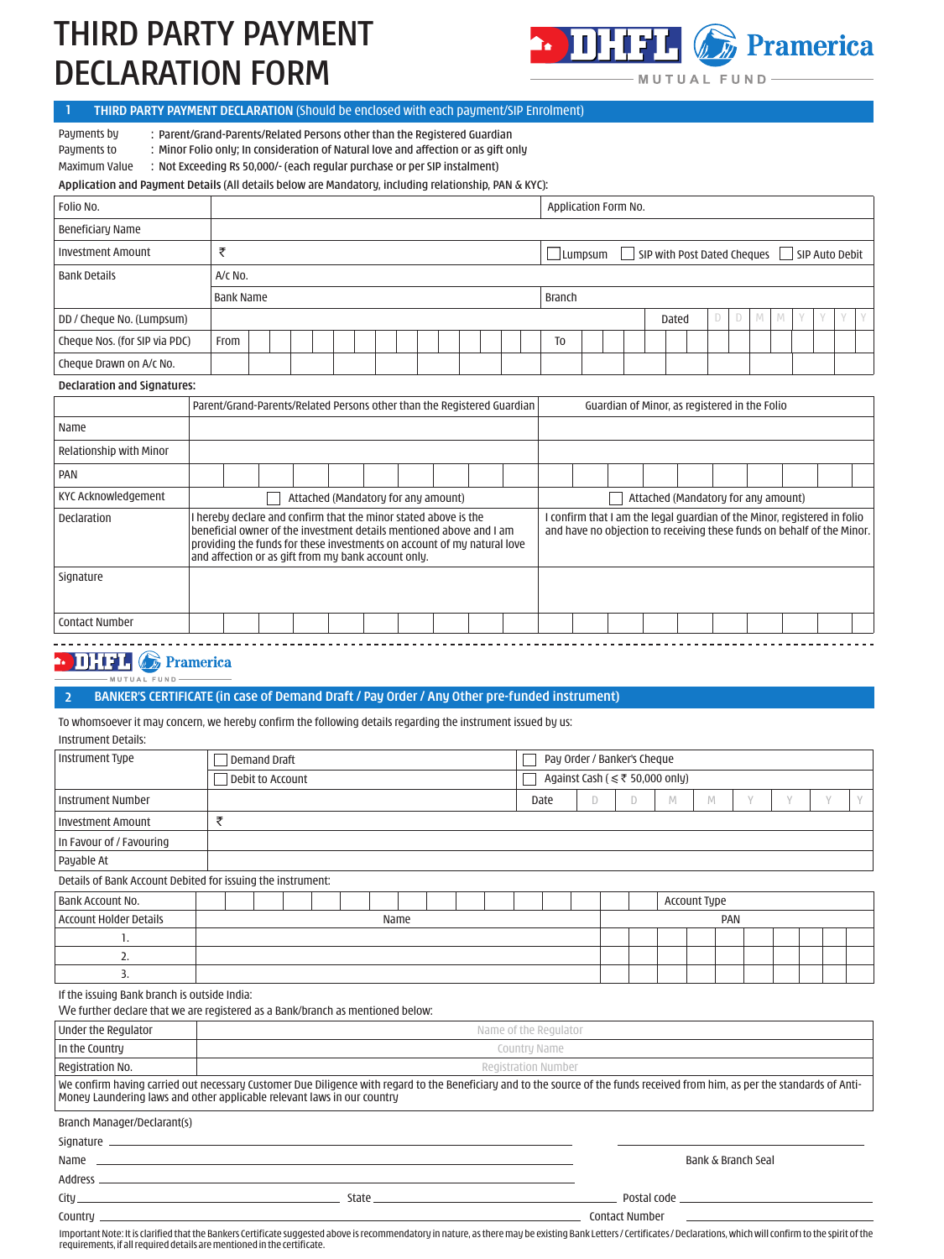# THIRD PARTY PAYMENT DECLARATION FORM



MUTUAL FUND

## **1 THIRD PARTY PAYMENT DECLARATION** (Should be enclosed with each payment/SIP Enrolment)

Payments by : Parent/Grand-Parents/Related Persons other than the Registered Guardian

Payments to : Minor Folio only; In consideration of Natural love and affection or as gift only

Maximum Value : Not Exceeding Rs 50,000/- (each regular purchase or per SIP instalment)

**Application and Payment Details** (All details below are Mandatory, including relationship, PAN & KYC):

| Folio No.                     |           |                  |  |  |  |  |  |  |  |  |  |  |  |  | Application Form No.                                  |                |  |  |  |  |       |  |  |   |   |             |  |  |  |
|-------------------------------|-----------|------------------|--|--|--|--|--|--|--|--|--|--|--|--|-------------------------------------------------------|----------------|--|--|--|--|-------|--|--|---|---|-------------|--|--|--|
| Beneficiary Name              |           |                  |  |  |  |  |  |  |  |  |  |  |  |  |                                                       |                |  |  |  |  |       |  |  |   |   |             |  |  |  |
| <b>Investment Amount</b>      |           |                  |  |  |  |  |  |  |  |  |  |  |  |  | SIP with Post Dated Cheques SIP Auto Debit<br>Lumpsum |                |  |  |  |  |       |  |  |   |   |             |  |  |  |
| <b>Bank Details</b>           | $A/C$ No. |                  |  |  |  |  |  |  |  |  |  |  |  |  |                                                       |                |  |  |  |  |       |  |  |   |   |             |  |  |  |
|                               |           | <b>Bank Name</b> |  |  |  |  |  |  |  |  |  |  |  |  |                                                       | Branch         |  |  |  |  |       |  |  |   |   |             |  |  |  |
| DD / Cheque No. (Lumpsum)     |           |                  |  |  |  |  |  |  |  |  |  |  |  |  |                                                       |                |  |  |  |  | Dated |  |  | D | M | $\mathbb N$ |  |  |  |
| Cheque Nos. (for SIP via PDC) | From      |                  |  |  |  |  |  |  |  |  |  |  |  |  |                                                       | T <sub>0</sub> |  |  |  |  |       |  |  |   |   |             |  |  |  |
| Cheque Drawn on A/c No.       |           |                  |  |  |  |  |  |  |  |  |  |  |  |  |                                                       |                |  |  |  |  |       |  |  |   |   |             |  |  |  |
| Declaration and Signatures:   |           |                  |  |  |  |  |  |  |  |  |  |  |  |  |                                                       |                |  |  |  |  |       |  |  |   |   |             |  |  |  |

#### **Declaration and Signatures:**

| <b>DECIGIQUUI QIIU SIYIIQUUES.</b> |  |                                                     |  |  |  |  |                                     |                                                                                                                                                                                                                   |                                               |  |                                                                                                                                                    |  |  |  |  |  |  |  |  |  |  |
|------------------------------------|--|-----------------------------------------------------|--|--|--|--|-------------------------------------|-------------------------------------------------------------------------------------------------------------------------------------------------------------------------------------------------------------------|-----------------------------------------------|--|----------------------------------------------------------------------------------------------------------------------------------------------------|--|--|--|--|--|--|--|--|--|--|
|                                    |  |                                                     |  |  |  |  |                                     | Parent/Grand-Parents/Related Persons other than the Registered Guardian                                                                                                                                           | Guardian of Minor, as registered in the Folio |  |                                                                                                                                                    |  |  |  |  |  |  |  |  |  |  |
| Name                               |  |                                                     |  |  |  |  |                                     |                                                                                                                                                                                                                   |                                               |  |                                                                                                                                                    |  |  |  |  |  |  |  |  |  |  |
| Relationship with Minor            |  |                                                     |  |  |  |  |                                     |                                                                                                                                                                                                                   |                                               |  |                                                                                                                                                    |  |  |  |  |  |  |  |  |  |  |
| PAN                                |  |                                                     |  |  |  |  |                                     |                                                                                                                                                                                                                   |                                               |  |                                                                                                                                                    |  |  |  |  |  |  |  |  |  |  |
| KYC Acknowledgement                |  |                                                     |  |  |  |  | Attached (Mandatory for any amount) |                                                                                                                                                                                                                   | Attached (Mandatory for any amount)           |  |                                                                                                                                                    |  |  |  |  |  |  |  |  |  |  |
| Declaration                        |  | and affection or as gift from my bank account only. |  |  |  |  |                                     | I hereby declare and confirm that the minor stated above is the<br>beneficial owner of the investment details mentioned above and I am<br>providing the funds for these investments on account of my natural love |                                               |  | I confirm that I am the legal guardian of the Minor, registered in folio<br>and have no objection to receiving these funds on behalf of the Minor. |  |  |  |  |  |  |  |  |  |  |
| Signature                          |  |                                                     |  |  |  |  |                                     |                                                                                                                                                                                                                   |                                               |  |                                                                                                                                                    |  |  |  |  |  |  |  |  |  |  |
| <b>Contact Number</b>              |  |                                                     |  |  |  |  |                                     |                                                                                                                                                                                                                   |                                               |  |                                                                                                                                                    |  |  |  |  |  |  |  |  |  |  |
|                                    |  |                                                     |  |  |  |  |                                     |                                                                                                                                                                                                                   |                                               |  |                                                                                                                                                    |  |  |  |  |  |  |  |  |  |  |

### **DELECTE** Pramerica EUND.

MUTUAL

## **2 BANKER'S CERTIFICATE (in case of Demand Draft / Pay Order / Any Other pre-funded instrument)**

To whomsoever it may concern, we hereby confirm the following details regarding the instrument issued by us:

Instrument Details:

| Instrument Type                                                                                                                                                                                                                                          | <b>Demand Draft</b>                                                            |  |  |  |  |  |  |  |  |  |                                      |                       |                     | Pay Order / Banker's Cheque |              |   |  |                    |   |  |   |   |  |  |  |
|----------------------------------------------------------------------------------------------------------------------------------------------------------------------------------------------------------------------------------------------------------|--------------------------------------------------------------------------------|--|--|--|--|--|--|--|--|--|--------------------------------------|-----------------------|---------------------|-----------------------------|--------------|---|--|--------------------|---|--|---|---|--|--|--|
|                                                                                                                                                                                                                                                          |                                                                                |  |  |  |  |  |  |  |  |  | Against Cash ( $\leq$ ₹ 50,000 only) |                       |                     |                             |              |   |  |                    |   |  |   |   |  |  |  |
|                                                                                                                                                                                                                                                          | Debit to Account                                                               |  |  |  |  |  |  |  |  |  |                                      |                       |                     |                             |              |   |  |                    |   |  |   |   |  |  |  |
| <b>Instrument Number</b>                                                                                                                                                                                                                                 |                                                                                |  |  |  |  |  |  |  |  |  | Date                                 |                       | D                   | D                           | $\mathbb{M}$ | M |  | Y                  | V |  | Y | Y |  |  |  |
| <b>Investment Amount</b>                                                                                                                                                                                                                                 | ₹                                                                              |  |  |  |  |  |  |  |  |  |                                      |                       |                     |                             |              |   |  |                    |   |  |   |   |  |  |  |
| In Favour of / Favouring                                                                                                                                                                                                                                 |                                                                                |  |  |  |  |  |  |  |  |  |                                      |                       |                     |                             |              |   |  |                    |   |  |   |   |  |  |  |
| Payable At                                                                                                                                                                                                                                               |                                                                                |  |  |  |  |  |  |  |  |  |                                      |                       |                     |                             |              |   |  |                    |   |  |   |   |  |  |  |
| Details of Bank Account Debited for issuing the instrument:                                                                                                                                                                                              |                                                                                |  |  |  |  |  |  |  |  |  |                                      |                       |                     |                             |              |   |  |                    |   |  |   |   |  |  |  |
| Bank Account No.                                                                                                                                                                                                                                         |                                                                                |  |  |  |  |  |  |  |  |  |                                      |                       | <b>Account Type</b> |                             |              |   |  |                    |   |  |   |   |  |  |  |
| <b>Account Holder Details</b>                                                                                                                                                                                                                            | Name                                                                           |  |  |  |  |  |  |  |  |  |                                      |                       | <b>PAN</b>          |                             |              |   |  |                    |   |  |   |   |  |  |  |
| 1.                                                                                                                                                                                                                                                       |                                                                                |  |  |  |  |  |  |  |  |  |                                      |                       |                     |                             |              |   |  |                    |   |  |   |   |  |  |  |
| 2.                                                                                                                                                                                                                                                       |                                                                                |  |  |  |  |  |  |  |  |  |                                      |                       |                     |                             |              |   |  |                    |   |  |   |   |  |  |  |
| 3.                                                                                                                                                                                                                                                       |                                                                                |  |  |  |  |  |  |  |  |  |                                      |                       |                     |                             |              |   |  |                    |   |  |   |   |  |  |  |
| If the issuing Bank branch is outside India:                                                                                                                                                                                                             |                                                                                |  |  |  |  |  |  |  |  |  |                                      |                       |                     |                             |              |   |  |                    |   |  |   |   |  |  |  |
|                                                                                                                                                                                                                                                          | We further declare that we are registered as a Bank/branch as mentioned below: |  |  |  |  |  |  |  |  |  |                                      |                       |                     |                             |              |   |  |                    |   |  |   |   |  |  |  |
| Under the Regulator                                                                                                                                                                                                                                      |                                                                                |  |  |  |  |  |  |  |  |  |                                      | Name of the Regulator |                     |                             |              |   |  |                    |   |  |   |   |  |  |  |
| In the Country                                                                                                                                                                                                                                           |                                                                                |  |  |  |  |  |  |  |  |  | Country Name                         |                       |                     |                             |              |   |  |                    |   |  |   |   |  |  |  |
| Registration No.                                                                                                                                                                                                                                         |                                                                                |  |  |  |  |  |  |  |  |  |                                      | Registration Number   |                     |                             |              |   |  |                    |   |  |   |   |  |  |  |
| We confirm having carried out necessary Customer Due Diligence with regard to the Beneficiary and to the source of the funds received from him, as per the standards of Anti-<br>Money Laundering laws and other applicable relevant laws in our country |                                                                                |  |  |  |  |  |  |  |  |  |                                      |                       |                     |                             |              |   |  |                    |   |  |   |   |  |  |  |
| Branch Manager/Declarant(s)                                                                                                                                                                                                                              |                                                                                |  |  |  |  |  |  |  |  |  |                                      |                       |                     |                             |              |   |  |                    |   |  |   |   |  |  |  |
|                                                                                                                                                                                                                                                          |                                                                                |  |  |  |  |  |  |  |  |  |                                      |                       |                     |                             |              |   |  |                    |   |  |   |   |  |  |  |
|                                                                                                                                                                                                                                                          |                                                                                |  |  |  |  |  |  |  |  |  |                                      |                       |                     |                             |              |   |  |                    |   |  |   |   |  |  |  |
|                                                                                                                                                                                                                                                          |                                                                                |  |  |  |  |  |  |  |  |  |                                      |                       |                     |                             |              |   |  | Bank & Branch Seal |   |  |   |   |  |  |  |
|                                                                                                                                                                                                                                                          |                                                                                |  |  |  |  |  |  |  |  |  |                                      |                       |                     |                             |              |   |  |                    |   |  |   |   |  |  |  |
|                                                                                                                                                                                                                                                          |                                                                                |  |  |  |  |  |  |  |  |  |                                      |                       |                     |                             |              |   |  |                    |   |  |   |   |  |  |  |
| Important Note: It is slatified that the Bankers Certificate suggested above is resemmendatory in pature, as there may be evisting Bank Letters Leeting the Continentary in pature is the color in Dank Letters Continuing Dan                           |                                                                                |  |  |  |  |  |  |  |  |  |                                      |                       |                     | Contact Number              |              |   |  |                    |   |  |   |   |  |  |  |

Important Note: It is clarified that the Bankers Certificate suggested above is recommendatory in nature, as there may be existing Bank Letters / Certificates / Declarations, which will confirm to the spirit of the requirements, if all required details are mentioned in the certificate.